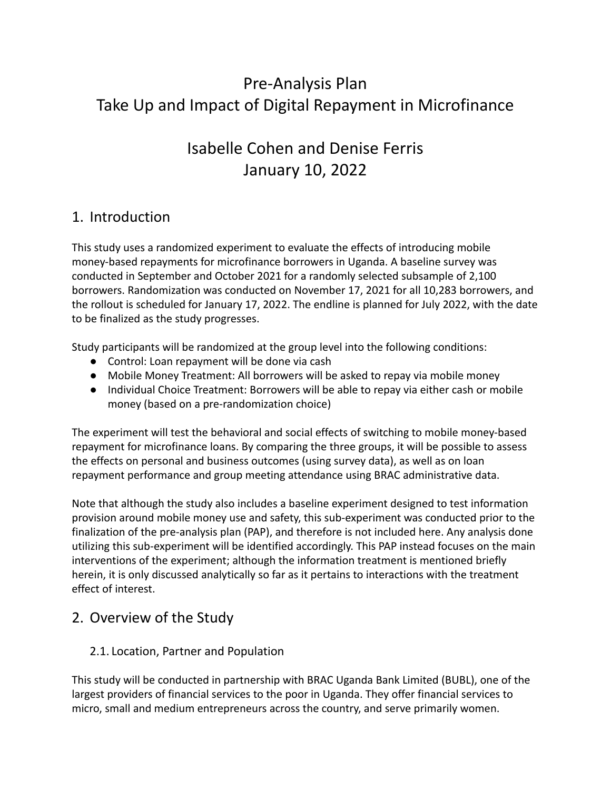# Pre-Analysis Plan Take Up and Impact of Digital Repayment in Microfinance

# Isabelle Cohen and Denise Ferris January 10, 2022

# 1. Introduction

This study uses a randomized experiment to evaluate the effects of introducing mobile money-based repayments for microfinance borrowers in Uganda. A baseline survey was conducted in September and October 2021 for a randomly selected subsample of 2,100 borrowers. Randomization was conducted on November 17, 2021 for all 10,283 borrowers, and the rollout is scheduled for January 17, 2022. The endline is planned for July 2022, with the date to be finalized as the study progresses.

Study participants will be randomized at the group level into the following conditions:

- Control: Loan repayment will be done via cash
- Mobile Money Treatment: All borrowers will be asked to repay via mobile money
- Individual Choice Treatment: Borrowers will be able to repay via either cash or mobile money (based on a pre-randomization choice)

The experiment will test the behavioral and social effects of switching to mobile money-based repayment for microfinance loans. By comparing the three groups, it will be possible to assess the effects on personal and business outcomes (using survey data), as well as on loan repayment performance and group meeting attendance using BRAC administrative data.

Note that although the study also includes a baseline experiment designed to test information provision around mobile money use and safety, this sub-experiment was conducted prior to the finalization of the pre-analysis plan (PAP), and therefore is not included here. Any analysis done utilizing this sub-experiment will be identified accordingly. This PAP instead focuses on the main interventions of the experiment; although the information treatment is mentioned briefly herein, it is only discussed analytically so far as it pertains to interactions with the treatment effect of interest.

# 2. Overview of the Study

## 2.1. Location, Partner and Population

This study will be conducted in partnership with BRAC Uganda Bank Limited (BUBL), one of the largest providers of financial services to the poor in Uganda. They offer financial services to micro, small and medium entrepreneurs across the country, and serve primarily women.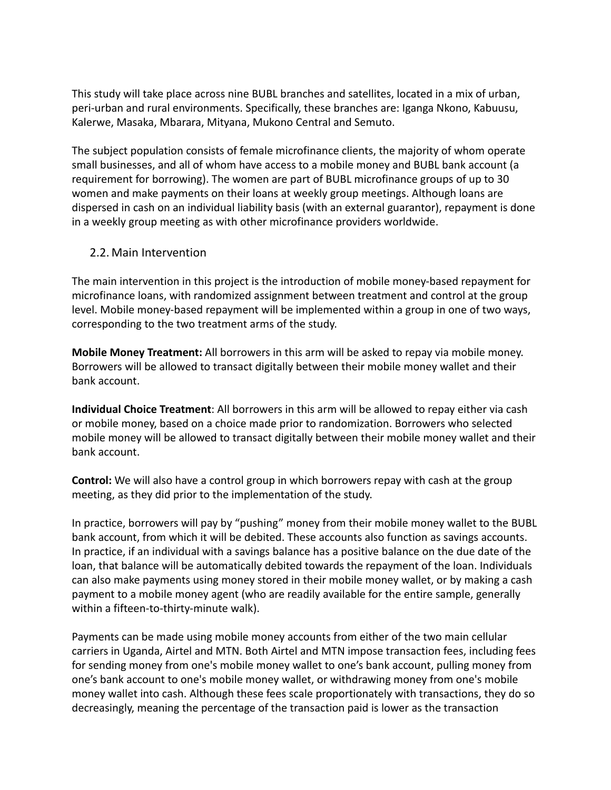This study will take place across nine BUBL branches and satellites, located in a mix of urban, peri-urban and rural environments. Specifically, these branches are: Iganga Nkono, Kabuusu, Kalerwe, Masaka, Mbarara, Mityana, Mukono Central and Semuto.

The subject population consists of female microfinance clients, the majority of whom operate small businesses, and all of whom have access to a mobile money and BUBL bank account (a requirement for borrowing). The women are part of BUBL microfinance groups of up to 30 women and make payments on their loans at weekly group meetings. Although loans are dispersed in cash on an individual liability basis (with an external guarantor), repayment is done in a weekly group meeting as with other microfinance providers worldwide.

#### 2.2. Main Intervention

The main intervention in this project is the introduction of mobile money-based repayment for microfinance loans, with randomized assignment between treatment and control at the group level. Mobile money-based repayment will be implemented within a group in one of two ways, corresponding to the two treatment arms of the study.

**Mobile Money Treatment:** All borrowers in this arm will be asked to repay via mobile money. Borrowers will be allowed to transact digitally between their mobile money wallet and their bank account.

**Individual Choice Treatment**: All borrowers in this arm will be allowed to repay either via cash or mobile money, based on a choice made prior to randomization. Borrowers who selected mobile money will be allowed to transact digitally between their mobile money wallet and their bank account.

**Control:** We will also have a control group in which borrowers repay with cash at the group meeting, as they did prior to the implementation of the study.

In practice, borrowers will pay by "pushing" money from their mobile money wallet to the BUBL bank account, from which it will be debited. These accounts also function as savings accounts. In practice, if an individual with a savings balance has a positive balance on the due date of the loan, that balance will be automatically debited towards the repayment of the loan. Individuals can also make payments using money stored in their mobile money wallet, or by making a cash payment to a mobile money agent (who are readily available for the entire sample, generally within a fifteen-to-thirty-minute walk).

Payments can be made using mobile money accounts from either of the two main cellular carriers in Uganda, Airtel and MTN. Both Airtel and MTN impose transaction fees, including fees for sending money from one's mobile money wallet to one's bank account, pulling money from one's bank account to one's mobile money wallet, or withdrawing money from one's mobile money wallet into cash. Although these fees scale proportionately with transactions, they do so decreasingly, meaning the percentage of the transaction paid is lower as the transaction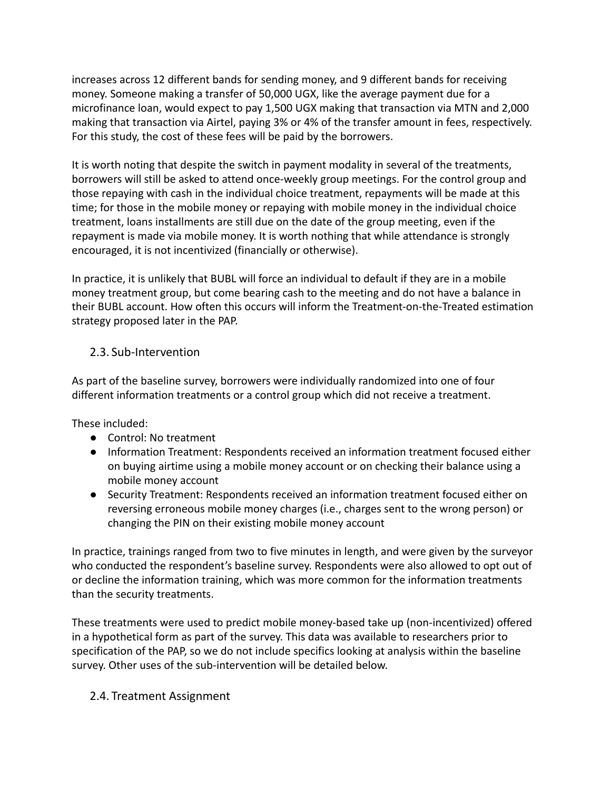increases across 12 different bands for sending money, and 9 different bands for receiving money. Someone making a transfer of 50,000 UGX, like the average payment due for a microfinance loan, would expect to pay 1,500 UGX making that transaction via MTN and 2,000 making that transaction via Airtel, paying 3% or 4% of the transfer amount in fees, respectively. For this study, the cost of these fees will be paid by the borrowers.

It is worth noting that despite the switch in payment modality in several of the treatments, borrowers will still be asked to attend once-weekly group meetings. For the control group and those repaying with cash in the individual choice treatment, repayments will be made at this time; for those in the mobile money or repaying with mobile money in the individual choice treatment, loans installments are still due on the date of the group meeting, even if the repayment is made via mobile money. It is worth nothing that while attendance is strongly encouraged, it is not incentivized (financially or otherwise).

In practice, it is unlikely that BUBL will force an individual to default if they are in a mobile money treatment group, but come bearing cash to the meeting and do not have a balance in their BUBL account. How often this occurs will inform the Treatment-on-the-Treated estimation strategy proposed later in the PAP.

#### 2.3. Sub-Intervention

As part of the baseline survey, borrowers were individually randomized into one of four different information treatments or a control group which did not receive a treatment.

These included:

- Control: No treatment
- Information Treatment: Respondents received an information treatment focused either on buying airtime using a mobile money account or on checking their balance using a mobile money account
- Security Treatment: Respondents received an information treatment focused either on reversing erroneous mobile money charges (i.e., charges sent to the wrong person) or changing the PIN on their existing mobile money account

In practice, trainings ranged from two to five minutes in length, and were given by the surveyor who conducted the respondent's baseline survey. Respondents were also allowed to opt out of or decline the information training, which was more common for the information treatments than the security treatments.

These treatments were used to predict mobile money-based take up (non-incentivized) offered in a hypothetical form as part of the survey. This data was available to researchers prior to specification of the PAP, so we do not include specifics looking at analysis within the baseline survey. Other uses of the sub-intervention will be detailed below.

#### 2.4. Treatment Assignment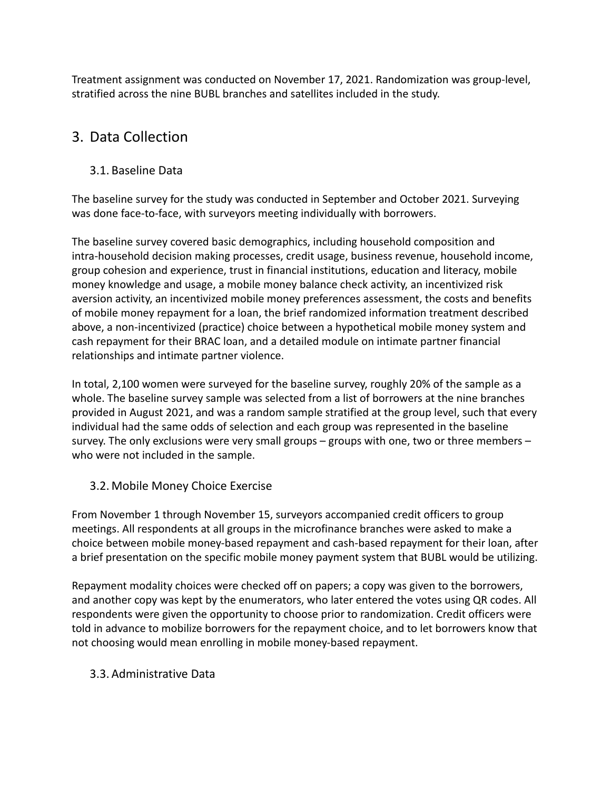Treatment assignment was conducted on November 17, 2021. Randomization was group-level, stratified across the nine BUBL branches and satellites included in the study.

# 3. Data Collection

## 3.1. Baseline Data

The baseline survey for the study was conducted in September and October 2021. Surveying was done face-to-face, with surveyors meeting individually with borrowers.

The baseline survey covered basic demographics, including household composition and intra-household decision making processes, credit usage, business revenue, household income, group cohesion and experience, trust in financial institutions, education and literacy, mobile money knowledge and usage, a mobile money balance check activity, an incentivized risk aversion activity, an incentivized mobile money preferences assessment, the costs and benefits of mobile money repayment for a loan, the brief randomized information treatment described above, a non-incentivized (practice) choice between a hypothetical mobile money system and cash repayment for their BRAC loan, and a detailed module on intimate partner financial relationships and intimate partner violence.

In total, 2,100 women were surveyed for the baseline survey, roughly 20% of the sample as a whole. The baseline survey sample was selected from a list of borrowers at the nine branches provided in August 2021, and was a random sample stratified at the group level, such that every individual had the same odds of selection and each group was represented in the baseline survey. The only exclusions were very small groups – groups with one, two or three members – who were not included in the sample.

## 3.2. Mobile Money Choice Exercise

From November 1 through November 15, surveyors accompanied credit officers to group meetings. All respondents at all groups in the microfinance branches were asked to make a choice between mobile money-based repayment and cash-based repayment for their loan, after a brief presentation on the specific mobile money payment system that BUBL would be utilizing.

Repayment modality choices were checked off on papers; a copy was given to the borrowers, and another copy was kept by the enumerators, who later entered the votes using QR codes. All respondents were given the opportunity to choose prior to randomization. Credit officers were told in advance to mobilize borrowers for the repayment choice, and to let borrowers know that not choosing would mean enrolling in mobile money-based repayment.

## 3.3. Administrative Data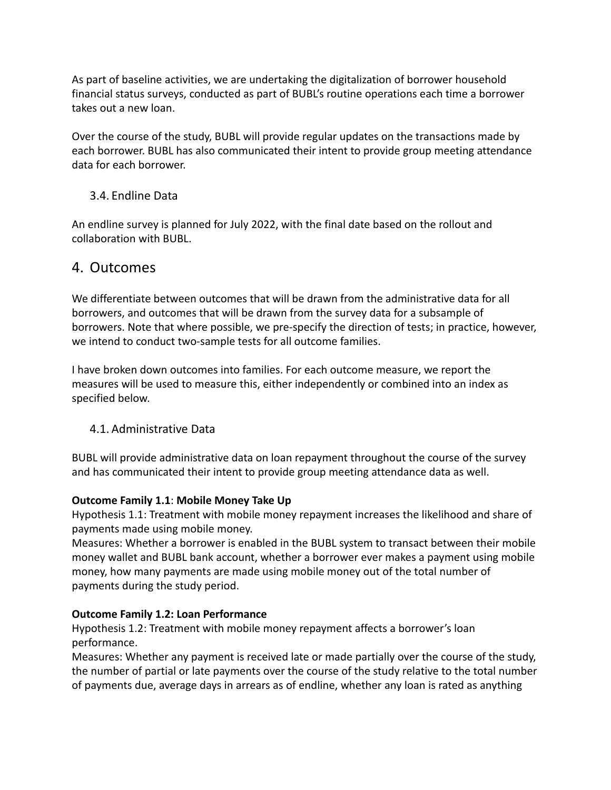As part of baseline activities, we are undertaking the digitalization of borrower household financial status surveys, conducted as part of BUBL's routine operations each time a borrower takes out a new loan.

Over the course of the study, BUBL will provide regular updates on the transactions made by each borrower. BUBL has also communicated their intent to provide group meeting attendance data for each borrower.

#### 3.4. Endline Data

An endline survey is planned for July 2022, with the final date based on the rollout and collaboration with BUBL.

# 4. Outcomes

We differentiate between outcomes that will be drawn from the administrative data for all borrowers, and outcomes that will be drawn from the survey data for a subsample of borrowers. Note that where possible, we pre-specify the direction of tests; in practice, however, we intend to conduct two-sample tests for all outcome families.

I have broken down outcomes into families. For each outcome measure, we report the measures will be used to measure this, either independently or combined into an index as specified below.

## 4.1. Administrative Data

BUBL will provide administrative data on loan repayment throughout the course of the survey and has communicated their intent to provide group meeting attendance data as well.

#### **Outcome Family 1.1**: **Mobile Money Take Up**

Hypothesis 1.1: Treatment with mobile money repayment increases the likelihood and share of payments made using mobile money.

Measures: Whether a borrower is enabled in the BUBL system to transact between their mobile money wallet and BUBL bank account, whether a borrower ever makes a payment using mobile money, how many payments are made using mobile money out of the total number of payments during the study period.

## **Outcome Family 1.2: Loan Performance**

Hypothesis 1.2: Treatment with mobile money repayment affects a borrower's loan performance.

Measures: Whether any payment is received late or made partially over the course of the study, the number of partial or late payments over the course of the study relative to the total number of payments due, average days in arrears as of endline, whether any loan is rated as anything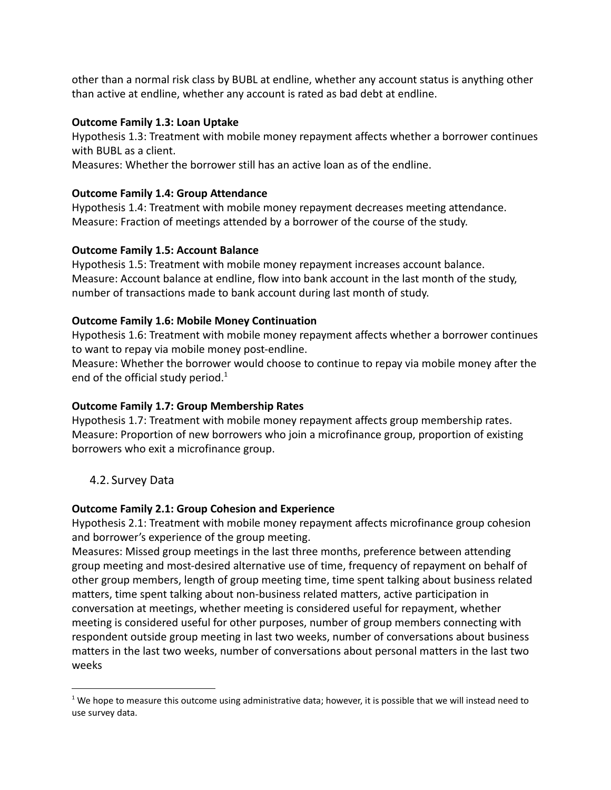other than a normal risk class by BUBL at endline, whether any account status is anything other than active at endline, whether any account is rated as bad debt at endline.

#### **Outcome Family 1.3: Loan Uptake**

Hypothesis 1.3: Treatment with mobile money repayment affects whether a borrower continues with BUBL as a client.

Measures: Whether the borrower still has an active loan as of the endline.

#### **Outcome Family 1.4: Group Attendance**

Hypothesis 1.4: Treatment with mobile money repayment decreases meeting attendance. Measure: Fraction of meetings attended by a borrower of the course of the study.

#### **Outcome Family 1.5: Account Balance**

Hypothesis 1.5: Treatment with mobile money repayment increases account balance. Measure: Account balance at endline, flow into bank account in the last month of the study, number of transactions made to bank account during last month of study.

#### **Outcome Family 1.6: Mobile Money Continuation**

Hypothesis 1.6: Treatment with mobile money repayment affects whether a borrower continues to want to repay via mobile money post-endline.

Measure: Whether the borrower would choose to continue to repay via mobile money after the end of the official study period. $1$ 

#### **Outcome Family 1.7: Group Membership Rates**

Hypothesis 1.7: Treatment with mobile money repayment affects group membership rates. Measure: Proportion of new borrowers who join a microfinance group, proportion of existing borrowers who exit a microfinance group.

#### 4.2. Survey Data

#### **Outcome Family 2.1: Group Cohesion and Experience**

Hypothesis 2.1: Treatment with mobile money repayment affects microfinance group cohesion and borrower's experience of the group meeting.

Measures: Missed group meetings in the last three months, preference between attending group meeting and most-desired alternative use of time, frequency of repayment on behalf of other group members, length of group meeting time, time spent talking about business related matters, time spent talking about non-business related matters, active participation in conversation at meetings, whether meeting is considered useful for repayment, whether meeting is considered useful for other purposes, number of group members connecting with respondent outside group meeting in last two weeks, number of conversations about business matters in the last two weeks, number of conversations about personal matters in the last two weeks

<sup>&</sup>lt;sup>1</sup> We hope to measure this outcome using administrative data; however, it is possible that we will instead need to use survey data.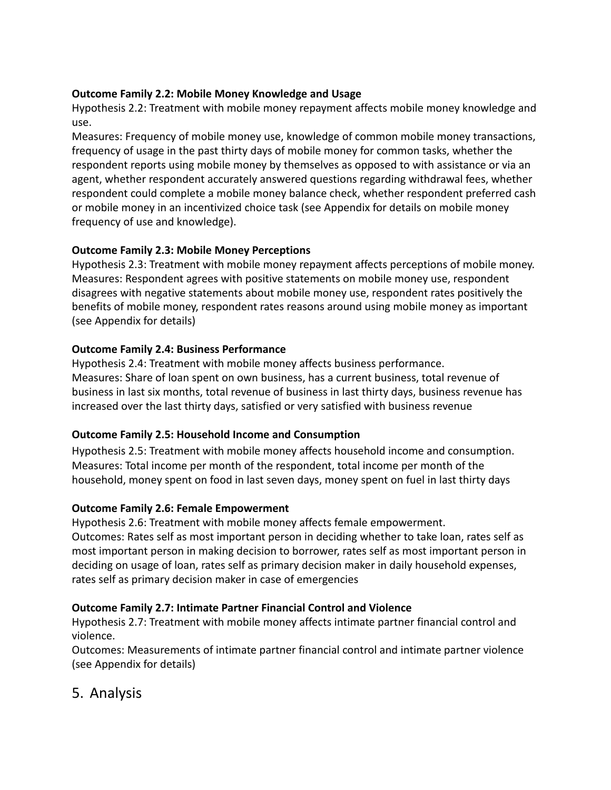#### **Outcome Family 2.2: Mobile Money Knowledge and Usage**

Hypothesis 2.2: Treatment with mobile money repayment affects mobile money knowledge and use.

Measures: Frequency of mobile money use, knowledge of common mobile money transactions, frequency of usage in the past thirty days of mobile money for common tasks, whether the respondent reports using mobile money by themselves as opposed to with assistance or via an agent, whether respondent accurately answered questions regarding withdrawal fees, whether respondent could complete a mobile money balance check, whether respondent preferred cash or mobile money in an incentivized choice task (see Appendix for details on mobile money frequency of use and knowledge).

#### **Outcome Family 2.3: Mobile Money Perceptions**

Hypothesis 2.3: Treatment with mobile money repayment affects perceptions of mobile money. Measures: Respondent agrees with positive statements on mobile money use, respondent disagrees with negative statements about mobile money use, respondent rates positively the benefits of mobile money, respondent rates reasons around using mobile money as important (see Appendix for details)

#### **Outcome Family 2.4: Business Performance**

Hypothesis 2.4: Treatment with mobile money affects business performance. Measures: Share of loan spent on own business, has a current business, total revenue of business in last six months, total revenue of business in last thirty days, business revenue has increased over the last thirty days, satisfied or very satisfied with business revenue

## **Outcome Family 2.5: Household Income and Consumption**

Hypothesis 2.5: Treatment with mobile money affects household income and consumption. Measures: Total income per month of the respondent, total income per month of the household, money spent on food in last seven days, money spent on fuel in last thirty days

## **Outcome Family 2.6: Female Empowerment**

Hypothesis 2.6: Treatment with mobile money affects female empowerment. Outcomes: Rates self as most important person in deciding whether to take loan, rates self as most important person in making decision to borrower, rates self as most important person in deciding on usage of loan, rates self as primary decision maker in daily household expenses, rates self as primary decision maker in case of emergencies

#### **Outcome Family 2.7: Intimate Partner Financial Control and Violence**

Hypothesis 2.7: Treatment with mobile money affects intimate partner financial control and violence.

Outcomes: Measurements of intimate partner financial control and intimate partner violence (see Appendix for details)

# 5. Analysis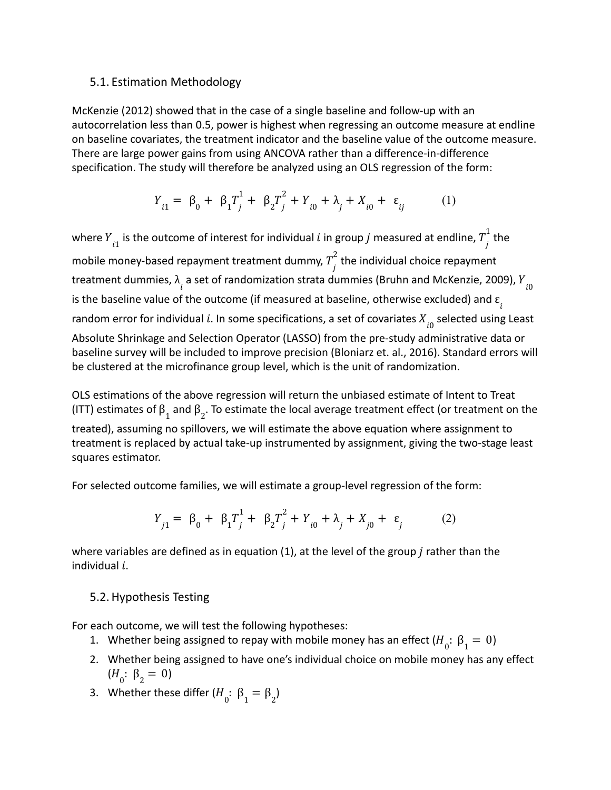#### 5.1. Estimation Methodology

McKenzie (2012) showed that in the case of a single baseline and follow-up with an autocorrelation less than 0.5, power is highest when regressing an outcome measure at endline on baseline covariates, the treatment indicator and the baseline value of the outcome measure. There are large power gains from using ANCOVA rather than a difference-in-difference specification. The study will therefore be analyzed using an OLS regression of the form:

$$
Y_{i1} = \beta_0 + \beta_1 T_j^1 + \beta_2 T_j^2 + Y_{i0} + \lambda_j + X_{i0} + \varepsilon_{ij}
$$
 (1)

where  $Y_{i1}$  is the outcome of interest for individual  $i$  in group  $j$  measured at endline,  $T_{j}^{1}$  the 1 mobile money-based repayment treatment dummy,  $T\frac{1}{j}$  the individual choice repayment 2 treatment dummies,  $\lambda_{_{\hat{l}}}$  a set of randomization strata dummies (Bruhn and McKenzie, 2009),  $Y_{_{\hat{l}0}}$ is the baseline value of the outcome (if measured at baseline, otherwise excluded) and  $\varepsilon_{_{\hat{l}}}$ random error for individual  $i$ . In some specifications, a set of covariates  $X_{\stackrel{\cdot}{l}0}$  selected using Least Absolute Shrinkage and Selection Operator (LASSO) from the pre-study administrative data or baseline survey will be included to improve precision (Bloniarz et. al., 2016). Standard errors will be clustered at the microfinance group level, which is the unit of randomization.

OLS estimations of the above regression will return the unbiased estimate of Intent to Treat (ITT) estimates of  $\beta_1$  and  $\beta_2$ . To estimate the local average treatment effect (or treatment on the treated), assuming no spillovers, we will estimate the above equation where assignment to treatment is replaced by actual take-up instrumented by assignment, giving the two-stage least squares estimator.

For selected outcome families, we will estimate a group-level regression of the form:

$$
Y_{j1} = \beta_0 + \beta_1 T_j^1 + \beta_2 T_j^2 + Y_{i0} + \lambda_j + X_{j0} + \varepsilon_j \tag{2}
$$

where variables are defined as in equation (1), at the level of the group  $j$  rather than the individual  $i$ .

#### 5.2.Hypothesis Testing

For each outcome, we will test the following hypotheses:

- 1. Whether being assigned to repay with mobile money has an effect  $(H_{0} : \beta_{1} = 0)$
- 2. Whether being assigned to have one's individual choice on mobile money has any effect  $(H<sub>0</sub>: β<sub>2</sub> = 0)$
- 3. Whether these differ  $(H_0: \beta_1 = \beta_2)$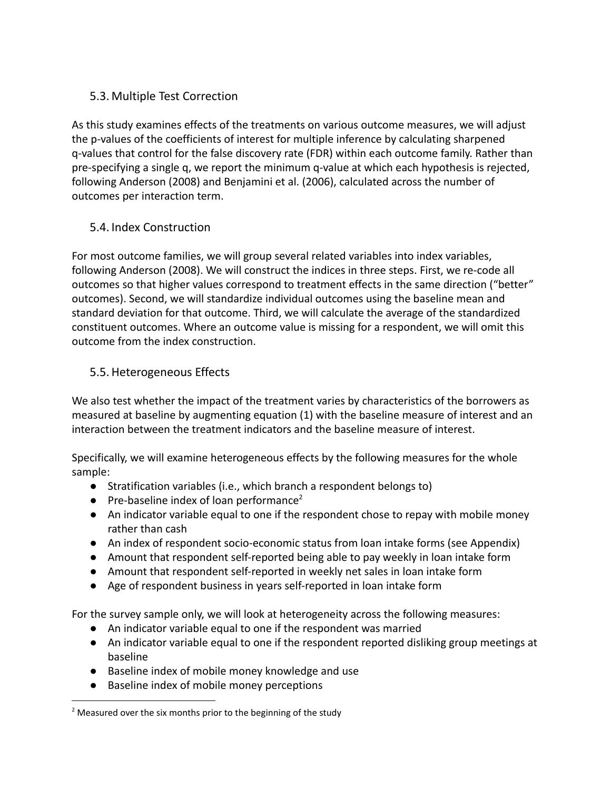## 5.3. Multiple Test Correction

As this study examines effects of the treatments on various outcome measures, we will adjust the p-values of the coefficients of interest for multiple inference by calculating sharpened q-values that control for the false discovery rate (FDR) within each outcome family. Rather than pre-specifying a single q, we report the minimum q-value at which each hypothesis is rejected, following Anderson (2008) and Benjamini et al. (2006), calculated across the number of outcomes per interaction term.

## 5.4. Index Construction

For most outcome families, we will group several related variables into index variables, following Anderson (2008). We will construct the indices in three steps. First, we re-code all outcomes so that higher values correspond to treatment effects in the same direction ("better" outcomes). Second, we will standardize individual outcomes using the baseline mean and standard deviation for that outcome. Third, we will calculate the average of the standardized constituent outcomes. Where an outcome value is missing for a respondent, we will omit this outcome from the index construction.

## 5.5.Heterogeneous Effects

We also test whether the impact of the treatment varies by characteristics of the borrowers as measured at baseline by augmenting equation (1) with the baseline measure of interest and an interaction between the treatment indicators and the baseline measure of interest.

Specifically, we will examine heterogeneous effects by the following measures for the whole sample:

- Stratification variables (i.e., which branch a respondent belongs to)
- $\bullet$  Pre-baseline index of loan performance<sup>2</sup>
- An indicator variable equal to one if the respondent chose to repay with mobile money rather than cash
- An index of respondent socio-economic status from loan intake forms (see Appendix)
- Amount that respondent self-reported being able to pay weekly in loan intake form
- Amount that respondent self-reported in weekly net sales in loan intake form
- Age of respondent business in years self-reported in loan intake form

For the survey sample only, we will look at heterogeneity across the following measures:

- An indicator variable equal to one if the respondent was married
- An indicator variable equal to one if the respondent reported disliking group meetings at baseline
- Baseline index of mobile money knowledge and use
- Baseline index of mobile money perceptions

 $2$  Measured over the six months prior to the beginning of the study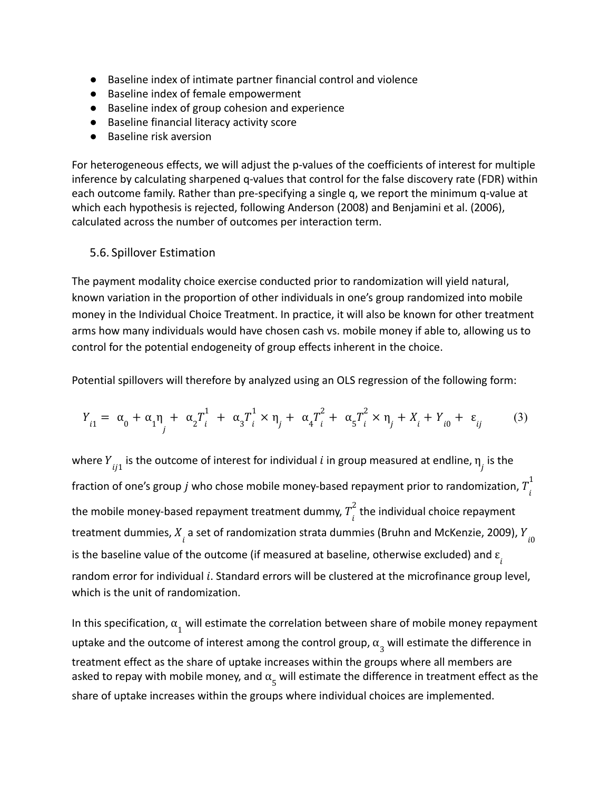- Baseline index of intimate partner financial control and violence
- Baseline index of female empowerment
- Baseline index of group cohesion and experience
- Baseline financial literacy activity score
- Baseline risk aversion

For heterogeneous effects, we will adjust the p-values of the coefficients of interest for multiple inference by calculating sharpened q-values that control for the false discovery rate (FDR) within each outcome family. Rather than pre-specifying a single q, we report the minimum q-value at which each hypothesis is rejected, following Anderson (2008) and Benjamini et al. (2006), calculated across the number of outcomes per interaction term.

#### 5.6. Spillover Estimation

The payment modality choice exercise conducted prior to randomization will yield natural, known variation in the proportion of other individuals in one's group randomized into mobile money in the Individual Choice Treatment. In practice, it will also be known for other treatment arms how many individuals would have chosen cash vs. mobile money if able to, allowing us to control for the potential endogeneity of group effects inherent in the choice.

Potential spillovers will therefore by analyzed using an OLS regression of the following form:

$$
Y_{i1} = \alpha_0 + \alpha_1 \eta + \alpha_2 T_i^1 + \alpha_3 T_i^1 \times \eta_j + \alpha_4 T_i^2 + \alpha_5 T_i^2 \times \eta_j + X_i + Y_{i0} + \varepsilon_{ij}
$$
(3)

where  $Y_{ij1}$  is the outcome of interest for individual  $i$  in group measured at endline,  $\eta_{\overline{j}}$  is the fraction of one's group  $j$  who chose mobile money-based repayment prior to randomization,  $T^{\texttt{t}}_{i}$ 1 the mobile money-based repayment treatment dummy,  $T\frac{1}{i}$  the individual choice repayment 2 treatment dummies,  $X_{\stackrel{.}{t}}$  a set of randomization strata dummies (Bruhn and McKenzie, 2009),  $Y_{\stackrel{.}{t}0}$ is the baseline value of the outcome (if measured at baseline, otherwise excluded) and  $\varepsilon_{_{\hat{l}}}$ random error for individual  $i$ . Standard errors will be clustered at the microfinance group level, which is the unit of randomization.

In this specification,  $\alpha_{1}^{}$  will estimate the correlation between share of mobile money repayment uptake and the outcome of interest among the control group,  $\alpha_{3}^{}$  will estimate the difference in treatment effect as the share of uptake increases within the groups where all members are asked to repay with mobile money, and  $\alpha_{\epsilon}$  will estimate the difference in treatment effect as the share of uptake increases within the groups where individual choices are implemented.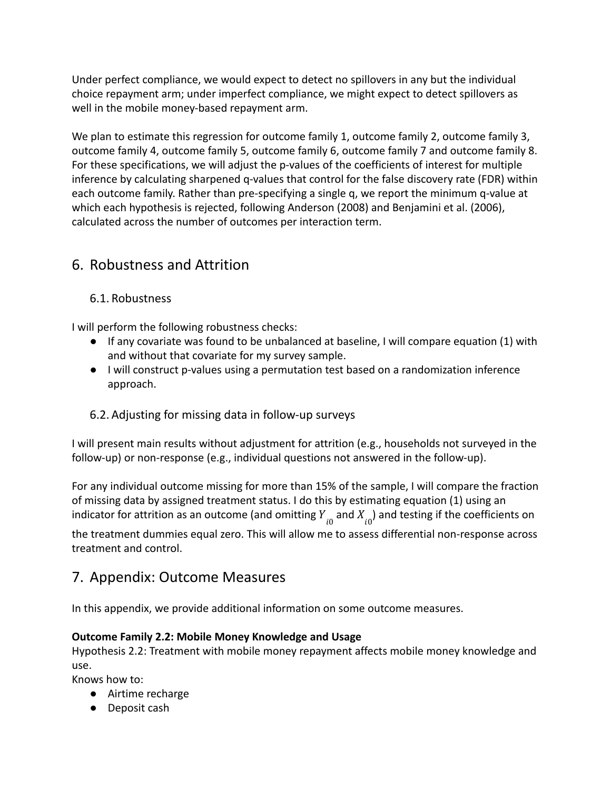Under perfect compliance, we would expect to detect no spillovers in any but the individual choice repayment arm; under imperfect compliance, we might expect to detect spillovers as well in the mobile money-based repayment arm.

We plan to estimate this regression for outcome family 1, outcome family 2, outcome family 3, outcome family 4, outcome family 5, outcome family 6, outcome family 7 and outcome family 8. For these specifications, we will adjust the p-values of the coefficients of interest for multiple inference by calculating sharpened q-values that control for the false discovery rate (FDR) within each outcome family. Rather than pre-specifying a single q, we report the minimum q-value at which each hypothesis is rejected, following Anderson (2008) and Benjamini et al. (2006), calculated across the number of outcomes per interaction term.

# 6. Robustness and Attrition

## 6.1. Robustness

I will perform the following robustness checks:

- If any covariate was found to be unbalanced at baseline, I will compare equation (1) with and without that covariate for my survey sample.
- I will construct p-values using a permutation test based on a randomization inference approach.

## 6.2. Adjusting for missing data in follow-up surveys

I will present main results without adjustment for attrition (e.g., households not surveyed in the follow-up) or non-response (e.g., individual questions not answered in the follow-up).

For any individual outcome missing for more than 15% of the sample, I will compare the fraction of missing data by assigned treatment status. I do this by estimating equation (1) using an indicator for attrition as an outcome (and omitting  $Y_{\overline{i}0}$  and  $X_{\overline{i}0})$  and testing if the coefficients on

the treatment dummies equal zero. This will allow me to assess differential non-response across treatment and control.

# 7. Appendix: Outcome Measures

In this appendix, we provide additional information on some outcome measures.

## **Outcome Family 2.2: Mobile Money Knowledge and Usage**

Hypothesis 2.2: Treatment with mobile money repayment affects mobile money knowledge and use.

Knows how to:

- Airtime recharge
- Deposit cash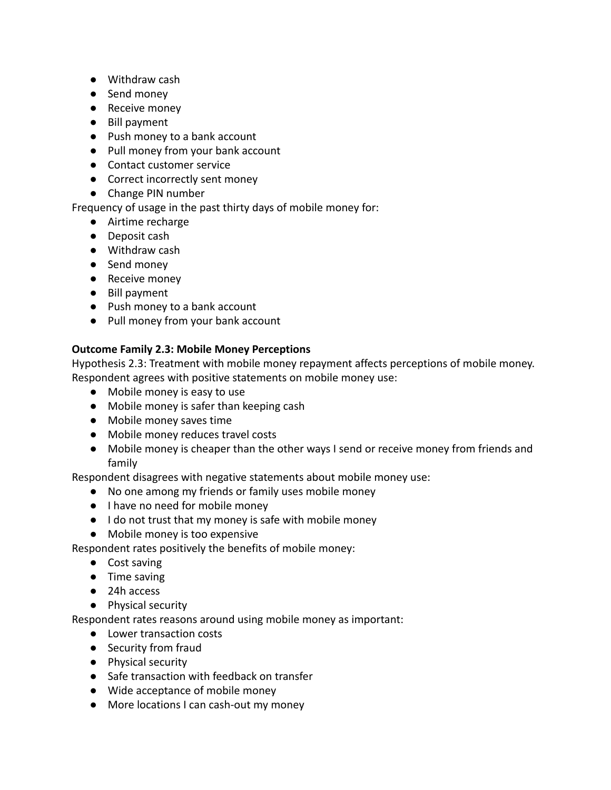- Withdraw cash
- Send money
- Receive money
- Bill payment
- Push money to a bank account
- Pull money from your bank account
- Contact customer service
- Correct incorrectly sent money
- Change PIN number

#### Frequency of usage in the past thirty days of mobile money for:

- Airtime recharge
- Deposit cash
- Withdraw cash
- Send money
- Receive money
- Bill payment
- Push money to a bank account
- Pull money from your bank account

#### **Outcome Family 2.3: Mobile Money Perceptions**

Hypothesis 2.3: Treatment with mobile money repayment affects perceptions of mobile money. Respondent agrees with positive statements on mobile money use:

- Mobile money is easy to use
- Mobile money is safer than keeping cash
- Mobile money saves time
- Mobile money reduces travel costs
- Mobile money is cheaper than the other ways I send or receive money from friends and family

Respondent disagrees with negative statements about mobile money use:

- No one among my friends or family uses mobile money
- I have no need for mobile money
- I do not trust that my money is safe with mobile money
- Mobile money is too expensive

Respondent rates positively the benefits of mobile money:

- Cost saving
- Time saving
- 24h access
- Physical security

Respondent rates reasons around using mobile money as important:

- Lower transaction costs
- Security from fraud
- Physical security
- Safe transaction with feedback on transfer
- Wide acceptance of mobile money
- More locations I can cash-out my money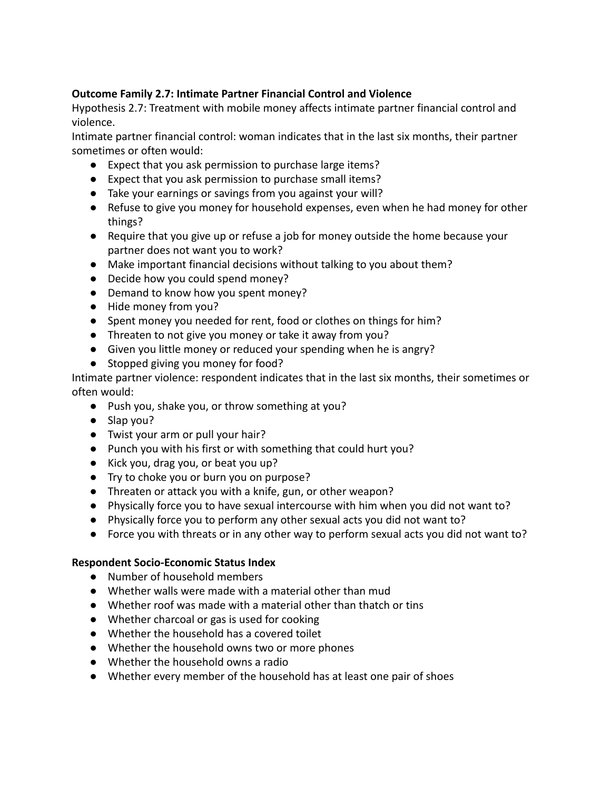#### **Outcome Family 2.7: Intimate Partner Financial Control and Violence**

Hypothesis 2.7: Treatment with mobile money affects intimate partner financial control and violence.

Intimate partner financial control: woman indicates that in the last six months, their partner sometimes or often would:

- Expect that you ask permission to purchase large items?
- Expect that you ask permission to purchase small items?
- Take your earnings or savings from you against your will?
- Refuse to give you money for household expenses, even when he had money for other things?
- Require that you give up or refuse a job for money outside the home because your partner does not want you to work?
- Make important financial decisions without talking to you about them?
- Decide how you could spend money?
- Demand to know how you spent money?
- Hide money from you?
- Spent money you needed for rent, food or clothes on things for him?
- Threaten to not give you money or take it away from you?
- Given you little money or reduced your spending when he is angry?
- Stopped giving you money for food?

Intimate partner violence: respondent indicates that in the last six months, their sometimes or often would:

- Push you, shake you, or throw something at you?
- Slap you?
- Twist your arm or pull your hair?
- Punch you with his first or with something that could hurt you?
- Kick you, drag you, or beat you up?
- Try to choke you or burn you on purpose?
- Threaten or attack you with a knife, gun, or other weapon?
- Physically force you to have sexual intercourse with him when you did not want to?
- Physically force you to perform any other sexual acts you did not want to?
- Force you with threats or in any other way to perform sexual acts you did not want to?

#### **Respondent Socio-Economic Status Index**

- Number of household members
- Whether walls were made with a material other than mud
- Whether roof was made with a material other than thatch or tins
- Whether charcoal or gas is used for cooking
- Whether the household has a covered toilet
- Whether the household owns two or more phones
- Whether the household owns a radio
- Whether every member of the household has at least one pair of shoes